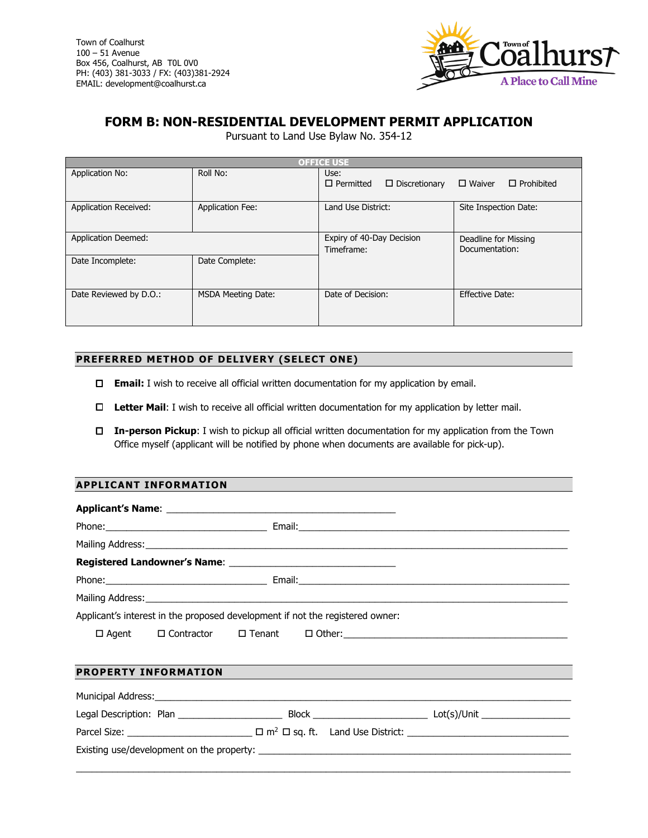

# **FORM B: NON-RESIDENTIAL DEVELOPMENT PERMIT APPLICATION**

Pursuant to Land Use Bylaw No. 354-12

| <b>OFFICE USE</b>            |                           |                                                  |                                        |  |  |  |
|------------------------------|---------------------------|--------------------------------------------------|----------------------------------------|--|--|--|
| Application No:              | Roll No:                  | Use:<br>$\Box$ Permitted<br>$\Box$ Discretionary | $\Box$ Waiver<br>$\Box$ Prohibited     |  |  |  |
| <b>Application Received:</b> | <b>Application Fee:</b>   | Land Use District:                               | Site Inspection Date:                  |  |  |  |
| <b>Application Deemed:</b>   |                           | Expiry of 40-Day Decision<br>Timeframe:          | Deadline for Missing<br>Documentation: |  |  |  |
| Date Incomplete:             | Date Complete:            |                                                  |                                        |  |  |  |
| Date Reviewed by D.O.:       | <b>MSDA Meeting Date:</b> | Date of Decision:                                | Effective Date:                        |  |  |  |

## **PREFERRED METHOD OF DELIVERY (SELECT ONE)**

- **Email:** I wish to receive all official written documentation for my application by email.
- **Letter Mail**: I wish to receive all official written documentation for my application by letter mail.
- **In-person Pickup**: I wish to pickup all official written documentation for my application from the Town Office myself (applicant will be notified by phone when documents are available for pick-up).

## **APPLICANT INFORMATION**

|                             |  | Applicant's interest in the proposed development if not the registered owner: |  |
|-----------------------------|--|-------------------------------------------------------------------------------|--|
|                             |  |                                                                               |  |
| <b>PROPERTY INFORMATION</b> |  |                                                                               |  |
|                             |  |                                                                               |  |
|                             |  |                                                                               |  |
|                             |  |                                                                               |  |
|                             |  |                                                                               |  |

\_\_\_\_\_\_\_\_\_\_\_\_\_\_\_\_\_\_\_\_\_\_\_\_\_\_\_\_\_\_\_\_\_\_\_\_\_\_\_\_\_\_\_\_\_\_\_\_\_\_\_\_\_\_\_\_\_\_\_\_\_\_\_\_\_\_\_\_\_\_\_\_\_\_\_\_\_\_\_\_\_\_\_\_\_\_\_\_\_\_\_\_\_\_\_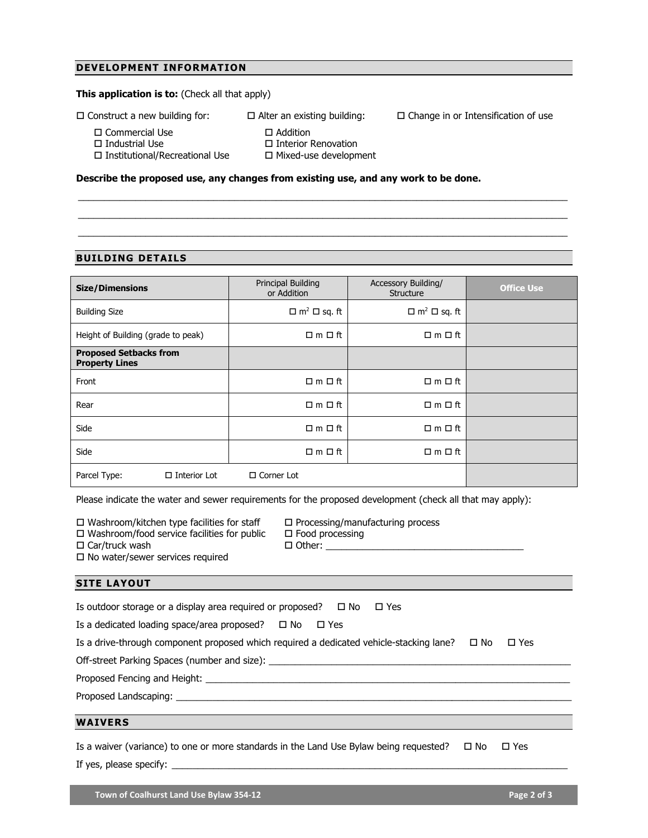## **DEVELOPMENT INFORMATION**

### **This application is to: (Check all that apply)**

 $\square$  Construct a new building for:  $\square$  Alter an existing building:  $\square$  Change in or Intensification of use

□ Commercial Use

- $\square$  Industrial Use
	-

□ Addition

- □ Interior Renovation
- □ Institutional/Recreational Use

Mixed-use development

\_\_\_\_\_\_\_\_\_\_\_\_\_\_\_\_\_\_\_\_\_\_\_\_\_\_\_\_\_\_\_\_\_\_\_\_\_\_\_\_\_\_\_\_\_\_\_\_\_\_\_\_\_\_\_\_\_\_\_\_\_\_\_\_\_\_\_\_\_\_\_\_\_\_\_\_\_\_\_\_\_\_\_\_\_\_\_\_\_\_\_\_\_\_ \_\_\_\_\_\_\_\_\_\_\_\_\_\_\_\_\_\_\_\_\_\_\_\_\_\_\_\_\_\_\_\_\_\_\_\_\_\_\_\_\_\_\_\_\_\_\_\_\_\_\_\_\_\_\_\_\_\_\_\_\_\_\_\_\_\_\_\_\_\_\_\_\_\_\_\_\_\_\_\_\_\_\_\_\_\_\_\_\_\_\_\_\_\_ \_\_\_\_\_\_\_\_\_\_\_\_\_\_\_\_\_\_\_\_\_\_\_\_\_\_\_\_\_\_\_\_\_\_\_\_\_\_\_\_\_\_\_\_\_\_\_\_\_\_\_\_\_\_\_\_\_\_\_\_\_\_\_\_\_\_\_\_\_\_\_\_\_\_\_\_\_\_\_\_\_\_\_\_\_\_\_\_\_\_\_\_\_\_

#### **Describe the proposed use, any changes from existing use, and any work to be done.**

## **BUILDING DETAILS**

| <b>Size/Dimensions</b>                                 | Principal Building<br>or Addition   | <b>Accessory Building/</b><br>Structure | <b>Office Use</b> |
|--------------------------------------------------------|-------------------------------------|-----------------------------------------|-------------------|
| <b>Building Size</b>                                   | $\Box$ m <sup>2</sup> $\Box$ sq. ft | $\Box$ m <sup>2</sup> $\Box$ sq. ft     |                   |
| Height of Building (grade to peak)                     | $\Box$ m $\Box$ ft                  | $\Box$ m $\Box$ ft                      |                   |
| <b>Proposed Setbacks from</b><br><b>Property Lines</b> |                                     |                                         |                   |
| Front                                                  | $\Box$ m $\Box$ ft                  | $\Box$ m $\Box$ ft                      |                   |
| Rear                                                   | $\Box$ m $\Box$ ft                  | $\Box$ m $\Box$ ft                      |                   |
| Side                                                   | $\Box$ m $\Box$ ft                  | $\square$ m $\square$ ft                |                   |
| Side                                                   | $\Box$ m $\Box$ ft                  | $\Box$ m $\Box$ ft                      |                   |
| Parcel Type:<br>$\Box$ Interior Lot                    | $\Box$ Corner Lot                   |                                         |                   |

Please indicate the water and sewer requirements for the proposed development (check all that may apply):

 $\Box$  Other:  $\_\_$ 

 $\square$  Washroom/kitchen type facilities for staff

 $\square$  Washroom/food service facilities for public

 $\Box$  Car/truck wash

 $\square$  No water/sewer services required

 $\square$  Processing/manufacturing process  $\square$  Food processing

#### **SITE LAYOUT**

| WAIVERS                                                                                                               |
|-----------------------------------------------------------------------------------------------------------------------|
|                                                                                                                       |
|                                                                                                                       |
|                                                                                                                       |
| Off-street Parking Spaces (number and size): ___________________________________                                      |
| Is a drive-through component proposed which required a dedicated vehicle-stacking lane?<br>$\Box$ Yes<br>$\square$ No |
| Is a dedicated loading space/area proposed? $\Box$ No<br>⊑ Yes                                                        |
| Is outdoor storage or a display area required or proposed? $\Box$ No<br>⊟ Yes                                         |
|                                                                                                                       |

Is a waiver (variance) to one or more standards in the Land Use Bylaw being requested?  $\Box$  No  $\Box$  Yes If yes, please specify: \_